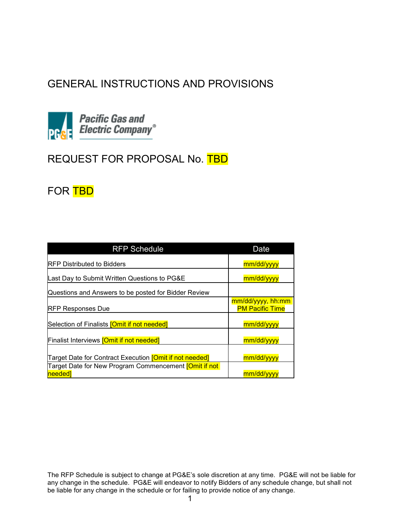# GENERAL INSTRUCTIONS AND PROVISIONS



## REQUEST FOR PROPOSAL No. TBD

FOR TBD

| <b>RFP Schedule</b>                                                      | Date                                        |
|--------------------------------------------------------------------------|---------------------------------------------|
| <b>IRFP Distributed to Bidders</b>                                       | mm/dd/yyyy                                  |
| Last Day to Submit Written Questions to PG&E                             | mm/dd/yyyy                                  |
| Questions and Answers to be posted for Bidder Review                     |                                             |
| <b>RFP Responses Due</b>                                                 | mm/dd/yyyy, hh:mm<br><b>PM Pacific Time</b> |
| Selection of Finalists <b>[Omit if not needed]</b>                       | mm/dd/yyyy                                  |
| Finalist Interviews <b>[Omit if not needed]</b>                          | mm/dd/yyyy                                  |
| Target Date for Contract Execution <b>[Omit if not needed]</b>           | mm/dd/yyyy                                  |
| Target Date for New Program Commencement <b>[Omit if not</b> ]<br>needed | mm/dd/yyyy                                  |

The RFP Schedule is subject to change at PG&E's sole discretion at any time. PG&E will not be liable for any change in the schedule. PG&E will endeavor to notify Bidders of any schedule change, but shall not be liable for any change in the schedule or for failing to provide notice of any change.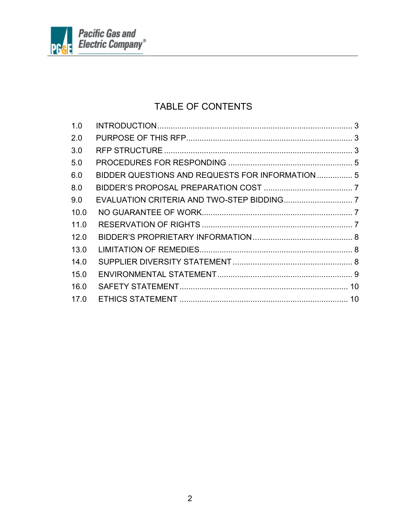

# TABLE OF CONTENTS

| 1.0  |                                                  |  |
|------|--------------------------------------------------|--|
| 2.0  |                                                  |  |
| 3.0  |                                                  |  |
| 5.0  |                                                  |  |
| 6.0  | BIDDER QUESTIONS AND REQUESTS FOR INFORMATION  5 |  |
| 8.0  |                                                  |  |
| 9.0  |                                                  |  |
| 10.0 |                                                  |  |
| 11.0 |                                                  |  |
| 12.0 |                                                  |  |
| 13.0 |                                                  |  |
| 14.0 |                                                  |  |
| 15.0 |                                                  |  |
| 16.0 |                                                  |  |
| 17.0 |                                                  |  |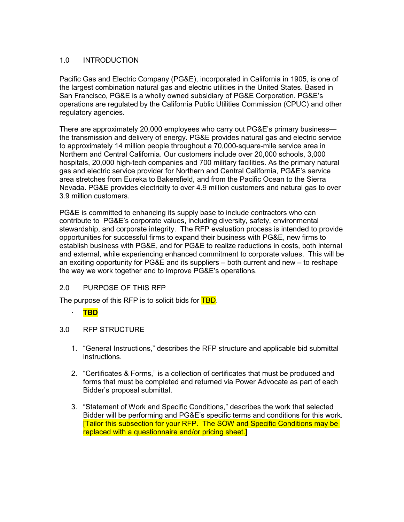## 1.0 INTRODUCTION

Pacific Gas and Electric Company (PG&E), incorporated in California in 1905, is one of the largest combination natural gas and electric utilities in the United States. Based in San Francisco, PG&E is a wholly owned subsidiary of PG&E Corporation. PG&E's operations are regulated by the California Public Utilities Commission (CPUC) and other regulatory agencies.

There are approximately 20,000 employees who carry out PG&E's primary business the transmission and delivery of energy. PG&E provides natural gas and electric service to approximately 14 million people throughout a 70,000-square-mile service area in Northern and Central California. Our customers include over 20,000 schools, 3,000 hospitals, 20,000 high-tech companies and 700 military facilities. As the primary natural gas and electric service provider for Northern and Central California, PG&E's service area stretches from Eureka to Bakersfield, and from the Pacific Ocean to the Sierra Nevada. PG&E provides electricity to over 4.9 million customers and natural gas to over 3.9 million customers.

PG&E is committed to enhancing its supply base to include contractors who can contribute to PG&E's corporate values, including diversity, safety, environmental stewardship, and corporate integrity. The RFP evaluation process is intended to provide opportunities for successful firms to expand their business with PG&E, new firms to establish business with PG&E, and for PG&E to realize reductions in costs, both internal and external, while experiencing enhanced commitment to corporate values. This will be an exciting opportunity for PG&E and its suppliers – both current and new – to reshape the way we work together and to improve PG&E's operations.

## 2.0 PURPOSE OF THIS RFP

The purpose of this RFP is to solicit bids for **TBD**.

## **· TBD**

- 3.0 RFP STRUCTURE
	- 1. "General Instructions," describes the RFP structure and applicable bid submittal instructions.
	- 2. "Certificates & Forms," is a collection of certificates that must be produced and forms that must be completed and returned via Power Advocate as part of each Bidder's proposal submittal.
	- 3. "Statement of Work and Specific Conditions," describes the work that selected Bidder will be performing and PG&E's specific terms and conditions for this work. [Tailor this subsection for your RFP. The SOW and Specific Conditions may be replaced with a questionnaire and/or pricing sheet.]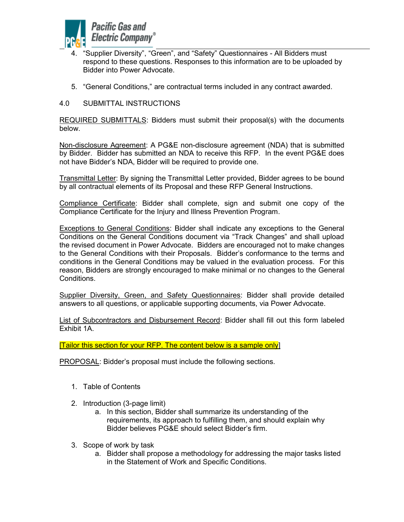

- 4. "Supplier Diversity", "Green", and "Safety" Questionnaires All Bidders must respond to these questions. Responses to this information are to be uploaded by Bidder into Power Advocate.
- 5. "General Conditions," are contractual terms included in any contract awarded.

#### 4.0 SUBMITTAL INSTRUCTIONS

REQUIRED SUBMITTALS: Bidders must submit their proposal(s) with the documents below.

Non-disclosure Agreement: A PG&E non-disclosure agreement (NDA) that is submitted by Bidder. Bidder has submitted an NDA to receive this RFP. In the event PG&E does not have Bidder's NDA, Bidder will be required to provide one.

Transmittal Letter: By signing the Transmittal Letter provided, Bidder agrees to be bound by all contractual elements of its Proposal and these RFP General Instructions.

Compliance Certificate: Bidder shall complete, sign and submit one copy of the Compliance Certificate for the Injury and Illness Prevention Program.

**Exceptions to General Conditions: Bidder shall indicate any exceptions to the General** Conditions on the General Conditions document via "Track Changes" and shall upload the revised document in Power Advocate. Bidders are encouraged not to make changes to the General Conditions with their Proposals. Bidder's conformance to the terms and conditions in the General Conditions may be valued in the evaluation process. For this reason, Bidders are strongly encouraged to make minimal or no changes to the General Conditions.

Supplier Diversity, Green, and Safety Questionnaires: Bidder shall provide detailed answers to all questions, or applicable supporting documents, via Power Advocate.

List of Subcontractors and Disbursement Record: Bidder shall fill out this form labeled Exhibit 1A.

[Tailor this section for your RFP. The content below is a sample only]

PROPOSAL: Bidder's proposal must include the following sections.

- 1. Table of Contents
- 2. Introduction (3-page limit)
	- a. In this section, Bidder shall summarize its understanding of the requirements, its approach to fulfilling them, and should explain why Bidder believes PG&E should select Bidder's firm.
- 3. Scope of work by task
	- a. Bidder shall propose a methodology for addressing the major tasks listed in the Statement of Work and Specific Conditions.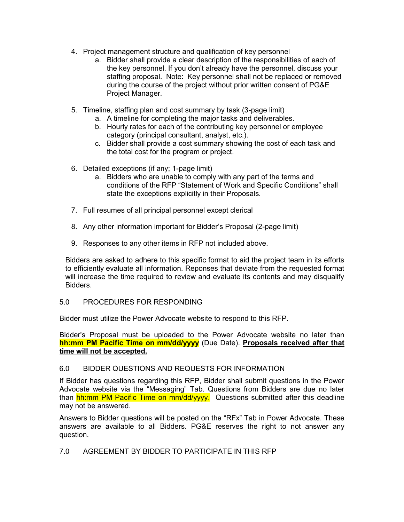- 4. Project management structure and qualification of key personnel
	- a. Bidder shall provide a clear description of the responsibilities of each of the key personnel. If you don't already have the personnel, discuss your staffing proposal. Note: Key personnel shall not be replaced or removed during the course of the project without prior written consent of PG&E Project Manager.
- 5. Timeline, staffing plan and cost summary by task (3-page limit)
	- a. A timeline for completing the major tasks and deliverables.
	- b. Hourly rates for each of the contributing key personnel or employee category (principal consultant, analyst, etc.).
	- c. Bidder shall provide a cost summary showing the cost of each task and the total cost for the program or project.
- 6. Detailed exceptions (if any; 1-page limit)
	- a. Bidders who are unable to comply with any part of the terms and conditions of the RFP "Statement of Work and Specific Conditions" shall state the exceptions explicitly in their Proposals.
- 7. Full resumes of all principal personnel except clerical
- 8. Any other information important for Bidder's Proposal (2-page limit)
- 9. Responses to any other items in RFP not included above.

Bidders are asked to adhere to this specific format to aid the project team in its efforts to efficiently evaluate all information. Reponses that deviate from the requested format will increase the time required to review and evaluate its contents and may disqualify Bidders.

#### 5.0 PROCEDURES FOR RESPONDING

Bidder must utilize the Power Advocate website to respond to this RFP.

Bidder's Proposal must be uploaded to the Power Advocate website no later than **hh:mm PM Pacific Time on mm/dd/yyyy** (Due Date). **Proposals received after that time will not be accepted.**

#### 6.0 BIDDER QUESTIONS AND REQUESTS FOR INFORMATION

If Bidder has questions regarding this RFP, Bidder shall submit questions in the Power Advocate website via the "Messaging" Tab. Questions from Bidders are due no later than hh:mm PM Pacific Time on mm/dd/yyyy. Questions submitted after this deadline may not be answered.

Answers to Bidder questions will be posted on the "RFx" Tab in Power Advocate. These answers are available to all Bidders. PG&E reserves the right to not answer any question.

7.0 AGREEMENT BY BIDDER TO PARTICIPATE IN THIS RFP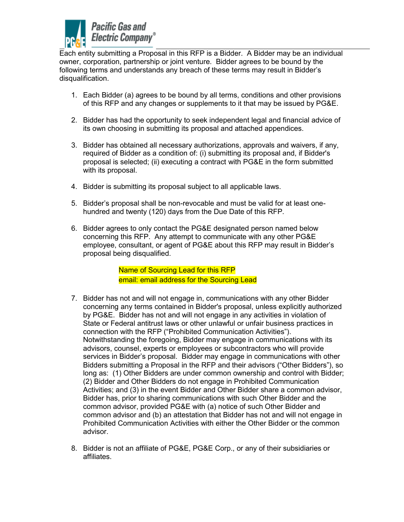

Each entity submitting a Proposal in this RFP is a Bidder. A Bidder may be an individual owner, corporation, partnership or joint venture. Bidder agrees to be bound by the following terms and understands any breach of these terms may result in Bidder's disqualification.

- 1. Each Bidder (a) agrees to be bound by all terms, conditions and other provisions of this RFP and any changes or supplements to it that may be issued by PG&E.
- 2. Bidder has had the opportunity to seek independent legal and financial advice of its own choosing in submitting its proposal and attached appendices.
- 3. Bidder has obtained all necessary authorizations, approvals and waivers, if any, required of Bidder as a condition of: (i) submitting its proposal and, if Bidder's proposal is selected; (ii) executing a contract with PG&E in the form submitted with its proposal.
- 4. Bidder is submitting its proposal subject to all applicable laws.
- 5. Bidder's proposal shall be non-revocable and must be valid for at least onehundred and twenty (120) days from the Due Date of this RFP.
- 6. Bidder agrees to only contact the PG&E designated person named below concerning this RFP. Any attempt to communicate with any other PG&E employee, consultant, or agent of PG&E about this RFP may result in Bidder's proposal being disqualified.

Name of Sourcing Lead for this RFP email: email address for the Sourcing Lead

- 7. Bidder has not and will not engage in, communications with any other Bidder concerning any terms contained in Bidder's proposal, unless explicitly authorized by PG&E. Bidder has not and will not engage in any activities in violation of State or Federal antitrust laws or other unlawful or unfair business practices in connection with the RFP ("Prohibited Communication Activities"). Notwithstanding the foregoing, Bidder may engage in communications with its advisors, counsel, experts or employees or subcontractors who will provide services in Bidder's proposal. Bidder may engage in communications with other Bidders submitting a Proposal in the RFP and their advisors ("Other Bidders"), so long as: (1) Other Bidders are under common ownership and control with Bidder; (2) Bidder and Other Bidders do not engage in Prohibited Communication Activities; and (3) in the event Bidder and Other Bidder share a common advisor, Bidder has, prior to sharing communications with such Other Bidder and the common advisor, provided PG&E with (a) notice of such Other Bidder and common advisor and (b) an attestation that Bidder has not and will not engage in Prohibited Communication Activities with either the Other Bidder or the common advisor.
- 8. Bidder is not an affiliate of PG&E, PG&E Corp., or any of their subsidiaries or affiliates.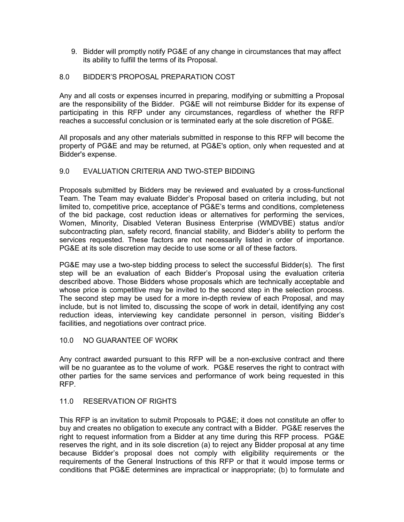9. Bidder will promptly notify PG&E of any change in circumstances that may affect its ability to fulfill the terms of its Proposal.

## 8.0 BIDDER'S PROPOSAL PREPARATION COST

Any and all costs or expenses incurred in preparing, modifying or submitting a Proposal are the responsibility of the Bidder. PG&E will not reimburse Bidder for its expense of participating in this RFP under any circumstances, regardless of whether the RFP reaches a successful conclusion or is terminated early at the sole discretion of PG&E.

All proposals and any other materials submitted in response to this RFP will become the property of PG&E and may be returned, at PG&E's option, only when requested and at Bidder's expense.

## 9.0 EVALUATION CRITERIA AND TWO-STEP BIDDING

Proposals submitted by Bidders may be reviewed and evaluated by a cross-functional Team. The Team may evaluate Bidder's Proposal based on criteria including, but not limited to, competitive price, acceptance of PG&E's terms and conditions, completeness of the bid package, cost reduction ideas or alternatives for performing the services, Women, Minority, Disabled Veteran Business Enterprise (WMDVBE) status and/or subcontracting plan, safety record, financial stability, and Bidder's ability to perform the services requested. These factors are not necessarily listed in order of importance. PG&E at its sole discretion may decide to use some or all of these factors.

PG&E may use a two-step bidding process to select the successful Bidder(s). The first step will be an evaluation of each Bidder's Proposal using the evaluation criteria described above. Those Bidders whose proposals which are technically acceptable and whose price is competitive may be invited to the second step in the selection process. The second step may be used for a more in-depth review of each Proposal, and may include, but is not limited to, discussing the scope of work in detail, identifying any cost reduction ideas, interviewing key candidate personnel in person, visiting Bidder's facilities, and negotiations over contract price.

10.0 NO GUARANTEE OF WORK

Any contract awarded pursuant to this RFP will be a non-exclusive contract and there will be no guarantee as to the volume of work. PG&E reserves the right to contract with other parties for the same services and performance of work being requested in this RFP.

## 11.0 RESERVATION OF RIGHTS

This RFP is an invitation to submit Proposals to PG&E; it does not constitute an offer to buy and creates no obligation to execute any contract with a Bidder. PG&E reserves the right to request information from a Bidder at any time during this RFP process. PG&E reserves the right, and in its sole discretion (a) to reject any Bidder proposal at any time because Bidder's proposal does not comply with eligibility requirements or the requirements of the General Instructions of this RFP or that it would impose terms or conditions that PG&E determines are impractical or inappropriate; (b) to formulate and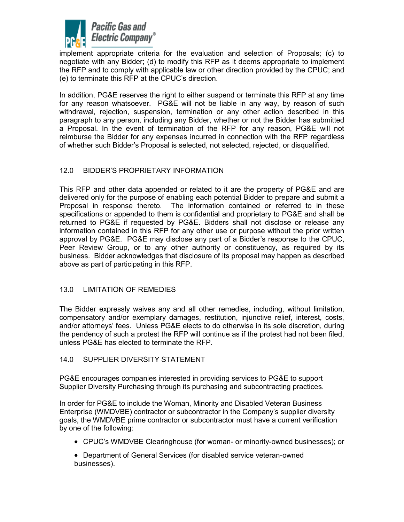

implement appropriate criteria for the evaluation and selection of Proposals; (c) to negotiate with any Bidder; (d) to modify this RFP as it deems appropriate to implement the RFP and to comply with applicable law or other direction provided by the CPUC; and (e) to terminate this RFP at the CPUC's direction.

In addition, PG&E reserves the right to either suspend or terminate this RFP at any time for any reason whatsoever. PG&E will not be liable in any way, by reason of such withdrawal, rejection, suspension, termination or any other action described in this paragraph to any person, including any Bidder, whether or not the Bidder has submitted a Proposal. In the event of termination of the RFP for any reason, PG&E will not reimburse the Bidder for any expenses incurred in connection with the RFP regardless of whether such Bidder's Proposal is selected, not selected, rejected, or disqualified.

## 12.0 BIDDER'S PROPRIETARY INFORMATION

This RFP and other data appended or related to it are the property of PG&E and are delivered only for the purpose of enabling each potential Bidder to prepare and submit a Proposal in response thereto. The information contained or referred to in these specifications or appended to them is confidential and proprietary to PG&E and shall be returned to PG&E if requested by PG&E. Bidders shall not disclose or release any information contained in this RFP for any other use or purpose without the prior written approval by PG&E. PG&E may disclose any part of a Bidder's response to the CPUC, Peer Review Group, or to any other authority or constituency, as required by its business. Bidder acknowledges that disclosure of its proposal may happen as described above as part of participating in this RFP.

## 13.0 LIMITATION OF REMEDIES

The Bidder expressly waives any and all other remedies, including, without limitation, compensatory and/or exemplary damages, restitution, injunctive relief, interest, costs, and/or attorneys' fees. Unless PG&E elects to do otherwise in its sole discretion, during the pendency of such a protest the RFP will continue as if the protest had not been filed, unless PG&E has elected to terminate the RFP.

## 14.0 SUPPLIER DIVERSITY STATEMENT

PG&E encourages companies interested in providing services to PG&E to support Supplier Diversity Purchasing through its purchasing and subcontracting practices.

In order for PG&E to include the Woman, Minority and Disabled Veteran Business Enterprise (WMDVBE) contractor or subcontractor in the Company's supplier diversity goals, the WMDVBE prime contractor or subcontractor must have a current verification by one of the following:

- CPUC's WMDVBE Clearinghouse (for woman- or minority-owned businesses); or
- Department of General Services (for disabled service veteran-owned businesses).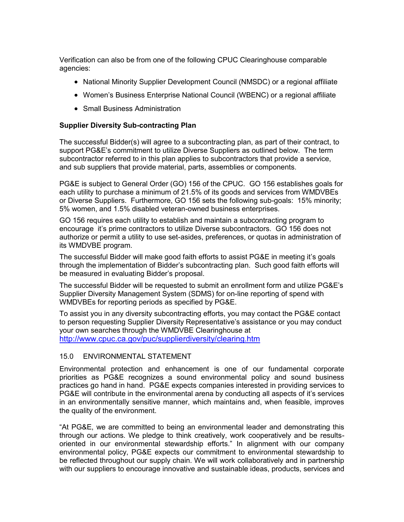Verification can also be from one of the following CPUC Clearinghouse comparable agencies:

- National Minority Supplier Development Council (NMSDC) or a regional affiliate
- Women's Business Enterprise National Council (WBENC) or a regional affiliate
- Small Business Administration

## **Supplier Diversity Sub-contracting Plan**

The successful Bidder(s) will agree to a subcontracting plan, as part of their contract, to support PG&E's commitment to utilize Diverse Suppliers as outlined below. The term subcontractor referred to in this plan applies to subcontractors that provide a service, and sub suppliers that provide material, parts, assemblies or components.

PG&E is subject to General Order (GO) 156 of the CPUC. GO 156 establishes goals for each utility to purchase a minimum of 21.5% of its goods and services from WMDVBEs or Diverse Suppliers. Furthermore, GO 156 sets the following sub-goals: 15% minority; 5% women, and 1.5% disabled veteran-owned business enterprises.

GO 156 requires each utility to establish and maintain a subcontracting program to encourage it's prime contractors to utilize Diverse subcontractors. GO 156 does not authorize or permit a utility to use set-asides, preferences, or quotas in administration of its WMDVBE program.

The successful Bidder will make good faith efforts to assist PG&E in meeting it's goals through the implementation of Bidder's subcontracting plan. Such good faith efforts will be measured in evaluating Bidder's proposal.

The successful Bidder will be requested to submit an enrollment form and utilize PG&E's Supplier Diversity Management System (SDMS) for on-line reporting of spend with WMDVBEs for reporting periods as specified by PG&E.

To assist you in any diversity subcontracting efforts, you may contact the PG&E contact to person requesting Supplier Diversity Representative's assistance or you may conduct your own searches through the WMDVBE Clearinghouse at http://www.cpuc.ca.gov/puc/supplierdiversity/clearing.htm

## 15.0 ENVIRONMENTAL STATEMENT

Environmental protection and enhancement is one of our fundamental corporate priorities as PG&E recognizes a sound environmental policy and sound business practices go hand in hand. PG&E expects companies interested in providing services to PG&E will contribute in the environmental arena by conducting all aspects of it's services in an environmentally sensitive manner, which maintains and, when feasible, improves the quality of the environment.

"At PG&E, we are committed to being an environmental leader and demonstrating this through our actions. We pledge to think creatively, work cooperatively and be resultsoriented in our environmental stewardship efforts." In alignment with our company environmental policy, PG&E expects our commitment to environmental stewardship to be reflected throughout our supply chain. We will work collaboratively and in partnership with our suppliers to encourage innovative and sustainable ideas, products, services and